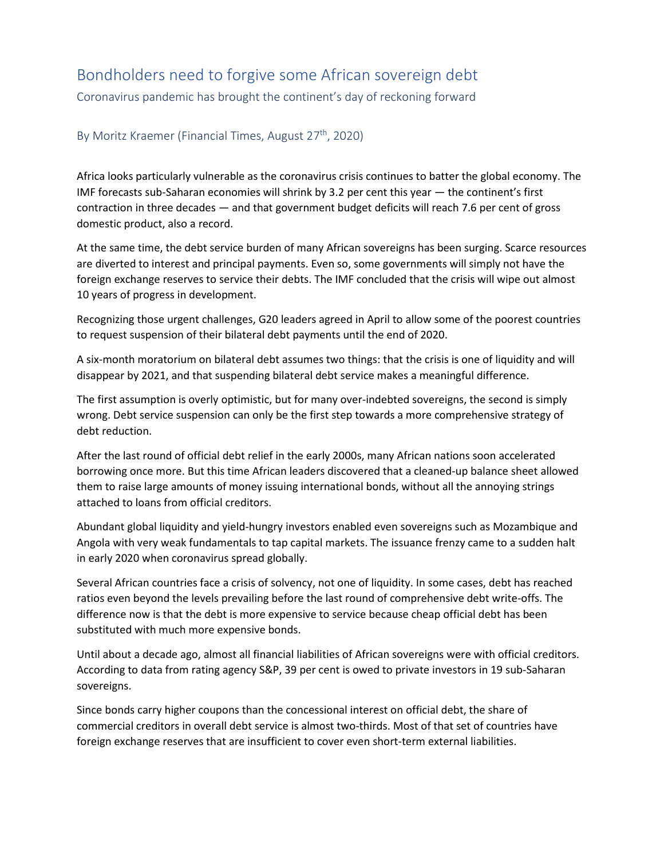## Bondholders need to forgive some African sovereign debt

Coronavirus pandemic has brought the continent's day of reckoning forward

## By Moritz Kraemer (Financial Times, August  $27<sup>th</sup>$ , 2020)

Africa looks particularly vulnerable as the coronavirus crisis continues to batter the global economy. The IMF forecasts sub-Saharan economies will shrink by 3.2 per cent this year — the continent's first contraction in three decades — and that government budget deficits will reach 7.6 per cent of gross domestic product, also a record.

At the same time, the debt service burden of many African sovereigns has been surging. Scarce resources are diverted to interest and principal payments. Even so, some governments will simply not have the foreign exchange reserves to service their debts. The IMF concluded that the crisis will wipe out almost 10 years of progress in development.

Recognizing those urgent challenges, G20 leaders agreed in April to allow some of the poorest countries to request suspension of their bilateral debt payments until the end of 2020.

A six-month moratorium on bilateral debt assumes two things: that the crisis is one of liquidity and will disappear by 2021, and that suspending bilateral debt service makes a meaningful difference.

The first assumption is overly optimistic, but for many over-indebted sovereigns, the second is simply wrong. Debt service suspension can only be the first step towards a more comprehensive strategy of debt reduction.

After the last round of official debt relief in the early 2000s, many African nations soon accelerated borrowing once more. But this time African leaders discovered that a cleaned-up balance sheet allowed them to raise large amounts of money issuing international bonds, without all the annoying strings attached to loans from official creditors.

Abundant global liquidity and yield-hungry investors enabled even sovereigns such as Mozambique and Angola with very weak fundamentals to tap capital markets. The issuance frenzy came to a sudden halt in early 2020 when coronavirus spread globally.

Several African countries face a crisis of solvency, not one of liquidity. In some cases, debt has reached ratios even beyond the levels prevailing before the last round of comprehensive debt write-offs. The difference now is that the debt is more expensive to service because cheap official debt has been substituted with much more expensive bonds.

Until about a decade ago, almost all financial liabilities of African sovereigns were with official creditors. According to data from rating agency S&P, 39 per cent is owed to private investors in 19 sub-Saharan sovereigns.

Since bonds carry higher coupons than the concessional interest on official debt, the share of commercial creditors in overall debt service is almost two-thirds. Most of that set of countries have foreign exchange reserves that are insufficient to cover even short-term external liabilities.